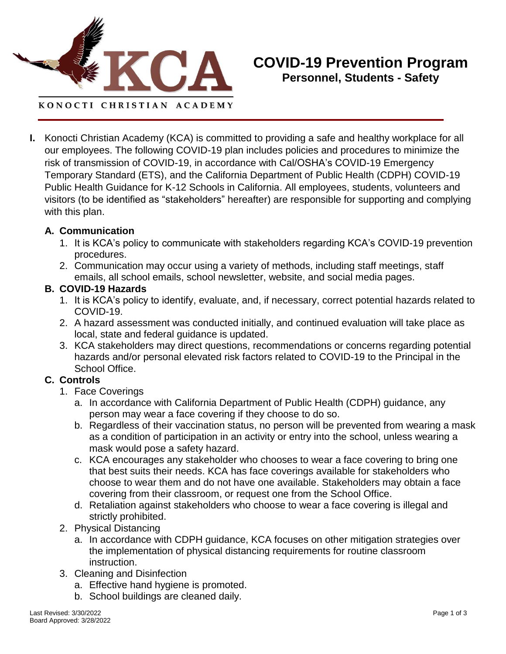

**I.** Konocti Christian Academy (KCA) is committed to providing a safe and healthy workplace for all our employees. The following COVID-19 plan includes policies and procedures to minimize the risk of transmission of COVID-19, in accordance with Cal/OSHA's COVID-19 Emergency Temporary Standard (ETS), and the California Department of Public Health (CDPH) COVID-19 Public Health Guidance for K-12 Schools in California. All employees, students, volunteers and visitors (to be identified as "stakeholders" hereafter) are responsible for supporting and complying with this plan.

#### **A. Communication**

- 1. It is KCA's policy to communicate with stakeholders regarding KCA's COVID-19 prevention procedures.
- 2. Communication may occur using a variety of methods, including staff meetings, staff emails, all school emails, school newsletter, website, and social media pages.

#### **B. COVID-19 Hazards**

- 1. It is KCA's policy to identify, evaluate, and, if necessary, correct potential hazards related to COVID-19.
- 2. A hazard assessment was conducted initially, and continued evaluation will take place as local, state and federal guidance is updated.
- 3. KCA stakeholders may direct questions, recommendations or concerns regarding potential hazards and/or personal elevated risk factors related to COVID-19 to the Principal in the School Office.

### **C. Controls**

- 1. Face Coverings
	- a. In accordance with California Department of Public Health (CDPH) guidance, any person may wear a face covering if they choose to do so.
	- b. Regardless of their vaccination status, no person will be prevented from wearing a mask as a condition of participation in an activity or entry into the school, unless wearing a mask would pose a safety hazard.
	- c. KCA encourages any stakeholder who chooses to wear a face covering to bring one that best suits their needs. KCA has face coverings available for stakeholders who choose to wear them and do not have one available. Stakeholders may obtain a face covering from their classroom, or request one from the School Office.
	- d. Retaliation against stakeholders who choose to wear a face covering is illegal and strictly prohibited.
- 2. Physical Distancing
	- a. In accordance with CDPH guidance, KCA focuses on other mitigation strategies over the implementation of physical distancing requirements for routine classroom instruction.
- 3. Cleaning and Disinfection
	- a. Effective hand hygiene is promoted.
	- b. School buildings are cleaned daily.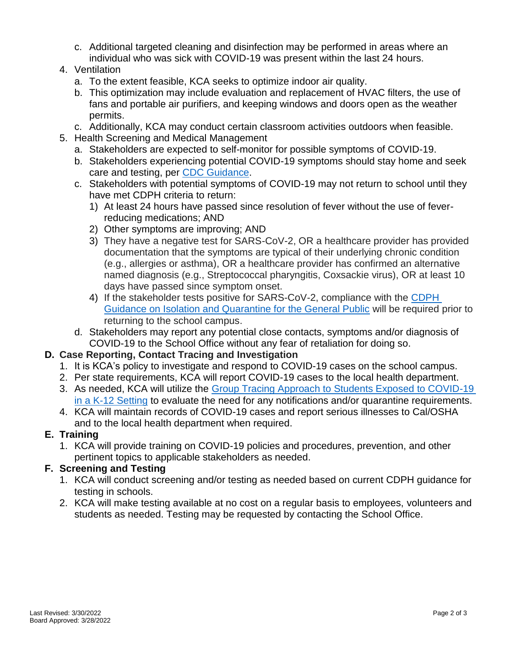- c. Additional targeted cleaning and disinfection may be performed in areas where an individual who was sick with COVID-19 was present within the last 24 hours.
- 4. Ventilation
	- a. To the extent feasible, KCA seeks to optimize indoor air quality.
	- b. This optimization may include evaluation and replacement of HVAC filters, the use of fans and portable air purifiers, and keeping windows and doors open as the weather permits.
	- c. Additionally, KCA may conduct certain classroom activities outdoors when feasible.
- 5. Health Screening and Medical Management
	- a. Stakeholders are expected to self-monitor for possible symptoms of COVID-19.
	- b. Stakeholders experiencing potential COVID-19 symptoms should stay home and seek care and testing, per [CDC Guidance.](https://www.cdc.gov/coronavirus/2019-ncov/community/schools-childcare/k-12-guidance.html#anchor_1625661984621)
	- c. Stakeholders with potential symptoms of COVID-19 may not return to school until they have met CDPH criteria to return:
		- 1) At least 24 hours have passed since resolution of fever without the use of feverreducing medications; AND
		- 2) Other symptoms are improving; AND
		- 3) They have a negative test for SARS-CoV-2, OR a healthcare provider has provided documentation that the symptoms are typical of their underlying chronic condition (e.g., allergies or asthma), OR a healthcare provider has confirmed an alternative named diagnosis (e.g., Streptococcal pharyngitis, Coxsackie virus), OR at least 10 days have passed since symptom onset.
		- 4) If the stakeholder tests positive for SARS-CoV-2, compliance with the [CDPH](https://www.cdph.ca.gov/Programs/CID/DCDC/Pages/COVID-19/Guidance-on-Isolation-and-Quarantine-for-COVID-19-Contact-Tracing.aspx)  [Guidance on Isolation and Quarantine for the General Public](https://www.cdph.ca.gov/Programs/CID/DCDC/Pages/COVID-19/Guidance-on-Isolation-and-Quarantine-for-COVID-19-Contact-Tracing.aspx) will be required prior to returning to the school campus.
	- d. Stakeholders may report any potential close contacts, symptoms and/or diagnosis of COVID-19 to the School Office without any fear of retaliation for doing so.

# **D. Case Reporting, Contact Tracing and Investigation**

- 1. It is KCA's policy to investigate and respond to COVID-19 cases on the school campus.
- 2. Per state requirements, KCA will report COVID-19 cases to the local health department.
- 3. As needed, KCA will utilize the [Group Tracing Approach to Students Exposed to COVID-19](https://www.cdph.ca.gov/Programs/CID/DCDC/Pages/COVID-19/Group-Tracing-Approach-to-Students-Exposed-to-COVID-19.aspx)  [in a K-12 Setting](https://www.cdph.ca.gov/Programs/CID/DCDC/Pages/COVID-19/Group-Tracing-Approach-to-Students-Exposed-to-COVID-19.aspx) to evaluate the need for any notifications and/or quarantine requirements.
- 4. KCA will maintain records of COVID-19 cases and report serious illnesses to Cal/OSHA and to the local health department when required.

# **E. Training**

1. KCA will provide training on COVID-19 policies and procedures, prevention, and other pertinent topics to applicable stakeholders as needed.

# **F. Screening and Testing**

- 1. KCA will conduct screening and/or testing as needed based on current CDPH guidance for testing in schools.
- 2. KCA will make testing available at no cost on a regular basis to employees, volunteers and students as needed. Testing may be requested by contacting the School Office.